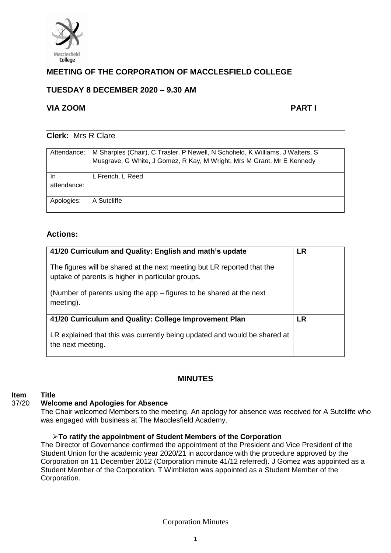

# **MEETING OF THE CORPORATION OF MACCLESFIELD COLLEGE**

# **TUESDAY 8 DECEMBER 2020 – 9.30 AM**

# **VIA ZOOM PART I**

# **Clerk:** Mrs R Clare

| Attendance:       | M Sharples (Chair), C Trasler, P Newell, N Schofield, K Williams, J Walters, S<br>Musgrave, G White, J Gomez, R Kay, M Wright, Mrs M Grant, Mr E Kennedy |
|-------------------|----------------------------------------------------------------------------------------------------------------------------------------------------------|
| In<br>attendance: | L French, L Reed                                                                                                                                         |
| Apologies:        | A Sutcliffe                                                                                                                                              |

# **Actions:**

| 41/20 Curriculum and Quality: English and math's update<br>The figures will be shared at the next meeting but LR reported that the<br>uptake of parents is higher in particular groups.<br>(Number of parents using the app – figures to be shared at the next<br>meeting). | LR |
|-----------------------------------------------------------------------------------------------------------------------------------------------------------------------------------------------------------------------------------------------------------------------------|----|
| 41/20 Curriculum and Quality: College Improvement Plan<br>LR explained that this was currently being updated and would be shared at<br>the next meeting.                                                                                                                    | LR |

# **MINUTES**

## **Item Title**

#### 37/20 **Welcome and Apologies for Absence**

The Chair welcomed Members to the meeting. An apology for absence was received for A Sutcliffe who was engaged with business at The Macclesfield Academy.

## ➢**To ratify the appointment of Student Members of the Corporation**

The Director of Governance confirmed the appointment of the President and Vice President of the Student Union for the academic year 2020/21 in accordance with the procedure approved by the Corporation on 11 December 2012 (Corporation minute 41/12 referred). J Gomez was appointed as a Student Member of the Corporation. T Wimbleton was appointed as a Student Member of the Corporation.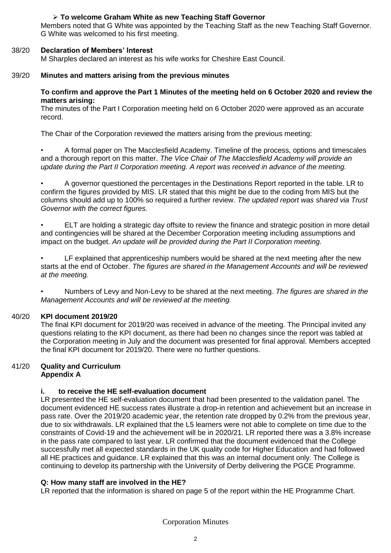## ➢ **To welcome Graham White as new Teaching Staff Governor**

Members noted that G White was appointed by the Teaching Staff as the new Teaching Staff Governor. G White was welcomed to his first meeting.

#### 38/20 **Declaration of Members' Interest**

M Sharples declared an interest as his wife works for Cheshire East Council.

#### 39/20 **Minutes and matters arising from the previous minutes**

#### **To confirm and approve the Part 1 Minutes of the meeting held on 6 October 2020 and review the matters arising:**

The minutes of the Part I Corporation meeting held on 6 October 2020 were approved as an accurate record.

The Chair of the Corporation reviewed the matters arising from the previous meeting:

• A formal paper on The Macclesfield Academy. Timeline of the process, options and timescales and a thorough report on this matter. *The Vice Chair of The Macclesfield Academy will provide an update during the Part II Corporation meeting. A report was received in advance of the meeting.* 

• A governor questioned the percentages in the Destinations Report reported in the table. LR to confirm the figures provided by MIS. LR stated that this might be due to the coding from MIS but the columns should add up to 100% so required a further review. *The updated report was shared via Trust Governor with the correct figures.* 

• ELT are holding a strategic day offsite to review the finance and strategic position in more detail and contingencies will be shared at the December Corporation meeting including assumptions and impact on the budget. *An update will be provided during the Part II Corporation meeting.* 

• LF explained that apprenticeship numbers would be shared at the next meeting after the new starts at the end of October. *The figures are shared in the Management Accounts and will be reviewed at the meeting.* 

• Numbers of Levy and Non-Levy to be shared at the next meeting. *The figures are shared in the Management Accounts and will be reviewed at the meeting.* 

#### 40/20 **KPI document 2019/20**

The final KPI document for 2019/20 was received in advance of the meeting. The Principal invited any questions relating to the KPI document, as there had been no changes since the report was tabled at the Corporation meeting in July and the document was presented for final approval. Members accepted the final KPI document for 2019/20. There were no further questions.

## 41/20 **Quality and Curriculum Appendix A**

## **i. to receive the HE self-evaluation document**

LR presented the HE self-evaluation document that had been presented to the validation panel. The document evidenced HE success rates illustrate a drop-in retention and achievement but an increase in pass rate. Over the 2019/20 academic year, the retention rate dropped by 0.2% from the previous year, due to six withdrawals. LR explained that the L5 learners were not able to complete on time due to the constraints of Covid-19 and the achievement will be in 2020/21. LR reported there was a 3.8% increase in the pass rate compared to last year. LR confirmed that the document evidenced that the College successfully met all expected standards in the UK quality code for Higher Education and had followed all HE practices and guidance. LR explained that this was an internal document only. The College is continuing to develop its partnership with the University of Derby delivering the PGCE Programme.

## **Q: How many staff are involved in the HE?**

LR reported that the information is shared on page 5 of the report within the HE Programme Chart.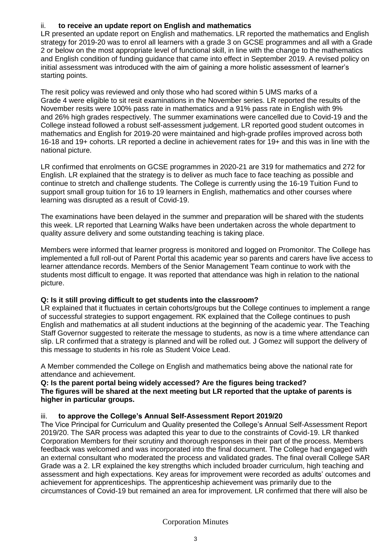# ii. **to receive an update report on English and mathematics**

LR presented an update report on English and mathematics. LR reported the mathematics and English strategy for 2019-20 was to enrol all learners with a grade 3 on GCSE programmes and all with a Grade 2 or below on the most appropriate level of functional skill, in line with the change to the mathematics and English condition of funding guidance that came into effect in September 2019. A revised policy on initial assessment was introduced with the aim of gaining a more holistic assessment of learner's starting points.

The resit policy was reviewed and only those who had scored within 5 UMS marks of a Grade 4 were eligible to sit resit examinations in the November series. LR reported the results of the November resits were 100% pass rate in mathematics and a 91% pass rate in English with 9% and 26% high grades respectively. The summer examinations were cancelled due to Covid-19 and the College instead followed a robust self-assessment judgement. LR reported good student outcomes in mathematics and English for 2019-20 were maintained and high-grade profiles improved across both 16-18 and 19+ cohorts. LR reported a decline in achievement rates for 19+ and this was in line with the national picture.

LR confirmed that enrolments on GCSE programmes in 2020-21 are 319 for mathematics and 272 for English. LR explained that the strategy is to deliver as much face to face teaching as possible and continue to stretch and challenge students. The College is currently using the 16-19 Tuition Fund to support small group tuition for 16 to 19 learners in English, mathematics and other courses where learning was disrupted as a result of Covid-19.

The examinations have been delayed in the summer and preparation will be shared with the students this week. LR reported that Learning Walks have been undertaken across the whole department to quality assure delivery and some outstanding teaching is taking place.

Members were informed that learner progress is monitored and logged on Promonitor. The College has implemented a full roll-out of Parent Portal this academic year so parents and carers have live access to learner attendance records. Members of the Senior Management Team continue to work with the students most difficult to engage. It was reported that attendance was high in relation to the national picture.

## **Q: Is it still proving difficult to get students into the classroom?**

LR explained that it fluctuates in certain cohorts/groups but the College continues to implement a range of successful strategies to support engagement. RK explained that the College continues to push English and mathematics at all student inductions at the beginning of the academic year. The Teaching Staff Governor suggested to reiterate the message to students, as now is a time where attendance can slip. LR confirmed that a strategy is planned and will be rolled out. J Gomez will support the delivery of this message to students in his role as Student Voice Lead.

A Member commended the College on English and mathematics being above the national rate for attendance and achievement.

**Q: Is the parent portal being widely accessed? Are the figures being tracked? The figures will be shared at the next meeting but LR reported that the uptake of parents is higher in particular groups.** 

## iii. **to approve the College's Annual Self-Assessment Report 2019/20**

The Vice Principal for Curriculum and Quality presented the College's Annual Self-Assessment Report 2019/20. The SAR process was adapted this year to due to the constraints of Covid-19. LR thanked Corporation Members for their scrutiny and thorough responses in their part of the process. Members feedback was welcomed and was incorporated into the final document. The College had engaged with an external consultant who moderated the process and validated grades. The final overall College SAR Grade was a 2. LR explained the key strengths which included broader curriculum, high teaching and assessment and high expectations. Key areas for improvement were recorded as adults' outcomes and achievement for apprenticeships. The apprenticeship achievement was primarily due to the circumstances of Covid-19 but remained an area for improvement. LR confirmed that there will also be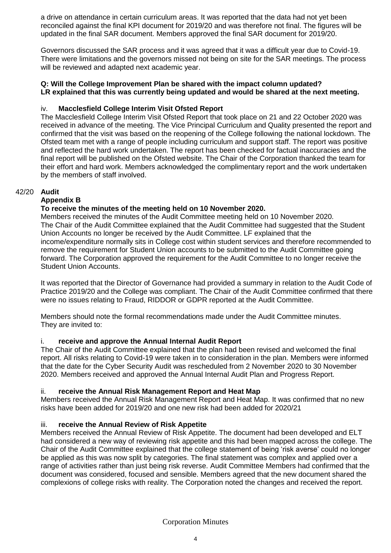a drive on attendance in certain curriculum areas. It was reported that the data had not yet been reconciled against the final KPI document for 2019/20 and was therefore not final. The figures will be updated in the final SAR document. Members approved the final SAR document for 2019/20.

Governors discussed the SAR process and it was agreed that it was a difficult year due to Covid-19. There were limitations and the governors missed not being on site for the SAR meetings. The process will be reviewed and adapted next academic year.

## **Q: Will the College Improvement Plan be shared with the impact column updated? LR explained that this was currently being updated and would be shared at the next meeting.**

## iv. **Macclesfield College Interim Visit Ofsted Report**

The Macclesfield College Interim Visit Ofsted Report that took place on 21 and 22 October 2020 was received in advance of the meeting. The Vice Principal Curriculum and Quality presented the report and confirmed that the visit was based on the reopening of the College following the national lockdown. The Ofsted team met with a range of people including curriculum and support staff. The report was positive and reflected the hard work undertaken. The report has been checked for factual inaccuracies and the final report will be published on the Ofsted website. The Chair of the Corporation thanked the team for their effort and hard work. Members acknowledged the complimentary report and the work undertaken by the members of staff involved.

## 42/20 **Audit**

# **Appendix B**

# **To receive the minutes of the meeting held on 10 November 2020.**

Members received the minutes of the Audit Committee meeting held on 10 November 2020. The Chair of the Audit Committee explained that the Audit Committee had suggested that the Student Union Accounts no longer be received by the Audit Committee. LF explained that the income/expenditure normally sits in College cost within student services and therefore recommended to remove the requirement for Student Union accounts to be submitted to the Audit Committee going forward. The Corporation approved the requirement for the Audit Committee to no longer receive the Student Union Accounts.

It was reported that the Director of Governance had provided a summary in relation to the Audit Code of Practice 2019/20 and the College was compliant. The Chair of the Audit Committee confirmed that there were no issues relating to Fraud, RIDDOR or GDPR reported at the Audit Committee.

Members should note the formal recommendations made under the Audit Committee minutes. They are invited to:

## i. **receive and approve the Annual Internal Audit Report**

The Chair of the Audit Committee explained that the plan had been revised and welcomed the final report. All risks relating to Covid-19 were taken in to consideration in the plan. Members were informed that the date for the Cyber Security Audit was rescheduled from 2 November 2020 to 30 November 2020. Members received and approved the Annual Internal Audit Plan and Progress Report.

## ii. **receive the Annual Risk Management Report and Heat Map**

Members received the Annual Risk Management Report and Heat Map. It was confirmed that no new risks have been added for 2019/20 and one new risk had been added for 2020/21

## iii. **receive the Annual Review of Risk Appetite**

Members received the Annual Review of Risk Appetite. The document had been developed and ELT had considered a new way of reviewing risk appetite and this had been mapped across the college. The Chair of the Audit Committee explained that the college statement of being 'risk averse' could no longer be applied as this was now split by categories. The final statement was complex and applied over a range of activities rather than just being risk reverse. Audit Committee Members had confirmed that the document was considered, focused and sensible. Members agreed that the new document shared the complexions of college risks with reality. The Corporation noted the changes and received the report.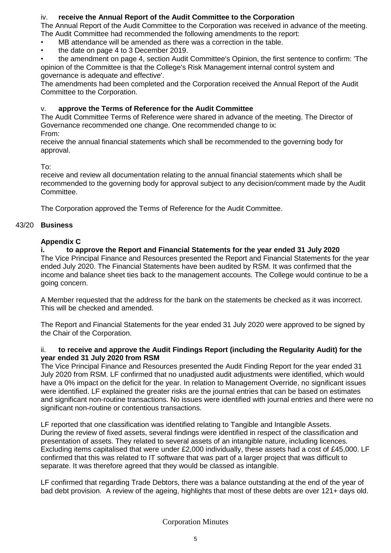# iv. **receive the Annual Report of the Audit Committee to the Corporation**

The Annual Report of the Audit Committee to the Corporation was received in advance of the meeting. The Audit Committee had recommended the following amendments to the report:

- MB attendance will be amended as there was a correction in the table.
- the date on page 4 to 3 December 2019.

• the amendment on page 4, section Audit Committee's Opinion, the first sentence to confirm: 'The opinion of the Committee is that the College's Risk Management internal control system and governance is adequate and effective'.

The amendments had been completed and the Corporation received the Annual Report of the Audit Committee to the Corporation.

# v. **approve the Terms of Reference for the Audit Committee**

The Audit Committee Terms of Reference were shared in advance of the meeting. The Director of Governance recommended one change. One recommended change to ix:

From:

receive the annual financial statements which shall be recommended to the governing body for approval.

To:

receive and review all documentation relating to the annual financial statements which shall be recommended to the governing body for approval subject to any decision/comment made by the Audit Committee.

The Corporation approved the Terms of Reference for the Audit Committee.

## 43/20 **Business**

## **Appendix C**

## **i. to approve the Report and Financial Statements for the year ended 31 July 2020**

The Vice Principal Finance and Resources presented the Report and Financial Statements for the year ended July 2020. The Financial Statements have been audited by RSM. It was confirmed that the income and balance sheet ties back to the management accounts. The College would continue to be a going concern.

A Member requested that the address for the bank on the statements be checked as it was incorrect. This will be checked and amended.

The Report and Financial Statements for the year ended 31 July 2020 were approved to be signed by the Chair of the Corporation.

## ii. **to receive and approve the Audit Findings Report (including the Regularity Audit) for the year ended 31 July 2020 from RSM**

The Vice Principal Finance and Resources presented the Audit Finding Report for the year ended 31 July 2020 from RSM. LF confirmed that no unadjusted audit adjustments were identified, which would have a 0% impact on the deficit for the year. In relation to Management Override, no significant issues were identified. LF explained the greater risks are the journal entries that can be based on estimates and significant non-routine transactions. No issues were identified with journal entries and there were no significant non-routine or contentious transactions.

LF reported that one classification was identified relating to Tangible and Intangible Assets. During the review of fixed assets, several findings were identified in respect of the classification and presentation of assets. They related to several assets of an intangible nature, including licences. Excluding items capitalised that were under £2,000 individually, these assets had a cost of £45,000. LF confirmed that this was related to IT software that was part of a larger project that was difficult to separate. It was therefore agreed that they would be classed as intangible.

LF confirmed that regarding Trade Debtors, there was a balance outstanding at the end of the year of bad debt provision. A review of the ageing, highlights that most of these debts are over 121+ days old.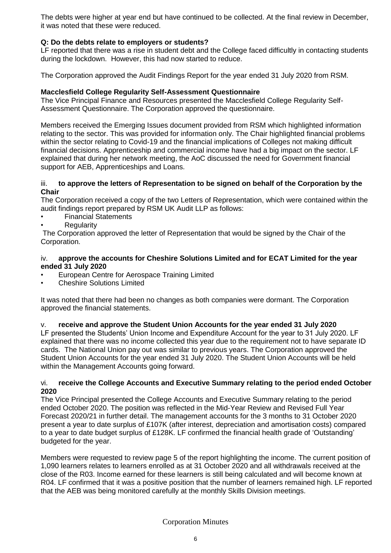The debts were higher at year end but have continued to be collected. At the final review in December, it was noted that these were reduced.

# **Q: Do the debts relate to employers or students?**

LF reported that there was a rise in student debt and the College faced difficultly in contacting students during the lockdown. However, this had now started to reduce.

The Corporation approved the Audit Findings Report for the year ended 31 July 2020 from RSM.

#### **Macclesfield College Regularity Self-Assessment Questionnaire**

The Vice Principal Finance and Resources presented the Macclesfield College Regularity Self-Assessment Questionnaire. The Corporation approved the questionnaire.

Members received the Emerging Issues document provided from RSM which highlighted information relating to the sector. This was provided for information only. The Chair highlighted financial problems within the sector relating to Covid-19 and the financial implications of Colleges not making difficult financial decisions. Apprenticeship and commercial income have had a big impact on the sector. LF explained that during her network meeting, the AoC discussed the need for Government financial support for AEB, Apprenticeships and Loans.

#### iii. **to approve the letters of Representation to be signed on behalf of the Corporation by the Chair**

The Corporation received a copy of the two Letters of Representation, which were contained within the audit findings report prepared by RSM UK Audit LLP as follows:

- Financial Statements
- **Regularity**

The Corporation approved the letter of Representation that would be signed by the Chair of the Corporation.

#### iv. **approve the accounts for Cheshire Solutions Limited and for ECAT Limited for the year ended 31 July 2020**

- European Centre for Aerospace Training Limited
- Cheshire Solutions Limited

It was noted that there had been no changes as both companies were dormant. The Corporation approved the financial statements.

## v. **receive and approve the Student Union Accounts for the year ended 31 July 2020**

LF presented the Students' Union Income and Expenditure Account for the year to 31 July 2020. LF explained that there was no income collected this year due to the requirement not to have separate ID cards. The National Union pay out was similar to previous years. The Corporation approved the Student Union Accounts for the year ended 31 July 2020. The Student Union Accounts will be held within the Management Accounts going forward.

#### vi. **receive the College Accounts and Executive Summary relating to the period ended October 2020**

The Vice Principal presented the College Accounts and Executive Summary relating to the period ended October 2020. The position was reflected in the Mid-Year Review and Revised Full Year Forecast 2020/21 in further detail. The management accounts for the 3 months to 31 October 2020 present a year to date surplus of £107K (after interest, depreciation and amortisation costs) compared to a year to date budget surplus of £128K. LF confirmed the financial health grade of 'Outstanding' budgeted for the year.

Members were requested to review page 5 of the report highlighting the income. The current position of 1,090 learners relates to learners enrolled as at 31 October 2020 and all withdrawals received at the close of the R03. Income earned for these learners is still being calculated and will become known at R04. LF confirmed that it was a positive position that the number of learners remained high. LF reported that the AEB was being monitored carefully at the monthly Skills Division meetings.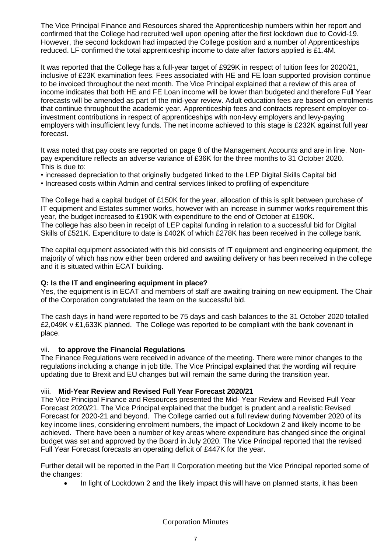The Vice Principal Finance and Resources shared the Apprenticeship numbers within her report and confirmed that the College had recruited well upon opening after the first lockdown due to Covid-19. However, the second lockdown had impacted the College position and a number of Apprenticeships reduced. LF confirmed the total apprenticeship income to date after factors applied is £1.4M.

It was reported that the College has a full-year target of £929K in respect of tuition fees for 2020/21, inclusive of £23K examination fees. Fees associated with HE and FE loan supported provision continue to be invoiced throughout the next month. The Vice Principal explained that a review of this area of income indicates that both HE and FE Loan income will be lower than budgeted and therefore Full Year forecasts will be amended as part of the mid-year review. Adult education fees are based on enrolments that continue throughout the academic year. Apprenticeship fees and contracts represent employer coinvestment contributions in respect of apprenticeships with non-levy employers and levy-paying employers with insufficient levy funds. The net income achieved to this stage is £232K against full year forecast.

It was noted that pay costs are reported on page 8 of the Management Accounts and are in line. Nonpay expenditure reflects an adverse variance of £36K for the three months to 31 October 2020. This is due to:

• increased depreciation to that originally budgeted linked to the LEP Digital Skills Capital bid

• Increased costs within Admin and central services linked to profiling of expenditure

The College had a capital budget of £150K for the year, allocation of this is split between purchase of IT equipment and Estates summer works, however with an increase in summer works requirement this year, the budget increased to £190K with expenditure to the end of October at £190K. The college has also been in receipt of LEP capital funding in relation to a successful bid for Digital Skills of £521K. Expenditure to date is £402K of which £278K has been received in the college bank.

The capital equipment associated with this bid consists of IT equipment and engineering equipment, the majority of which has now either been ordered and awaiting delivery or has been received in the college and it is situated within ECAT building.

## **Q: Is the IT and engineering equipment in place?**

Yes, the equipment is in ECAT and members of staff are awaiting training on new equipment. The Chair of the Corporation congratulated the team on the successful bid.

The cash days in hand were reported to be 75 days and cash balances to the 31 October 2020 totalled £2,049K v £1,633K planned. The College was reported to be compliant with the bank covenant in place.

## vii. **to approve the Financial Regulations**

The Finance Regulations were received in advance of the meeting. There were minor changes to the regulations including a change in job title. The Vice Principal explained that the wording will require updating due to Brexit and EU changes but will remain the same during the transition year.

## viii. **Mid-Year Review and Revised Full Year Forecast 2020/21**

The Vice Principal Finance and Resources presented the Mid- Year Review and Revised Full Year Forecast 2020/21. The Vice Principal explained that the budget is prudent and a realistic Revised Forecast for 2020-21 and beyond. The College carried out a full review during November 2020 of its key income lines, considering enrolment numbers, the impact of Lockdown 2 and likely income to be achieved. There have been a number of key areas where expenditure has changed since the original budget was set and approved by the Board in July 2020. The Vice Principal reported that the revised Full Year Forecast forecasts an operating deficit of £447K for the year.

Further detail will be reported in the Part II Corporation meeting but the Vice Principal reported some of the changes:

• In light of Lockdown 2 and the likely impact this will have on planned starts, it has been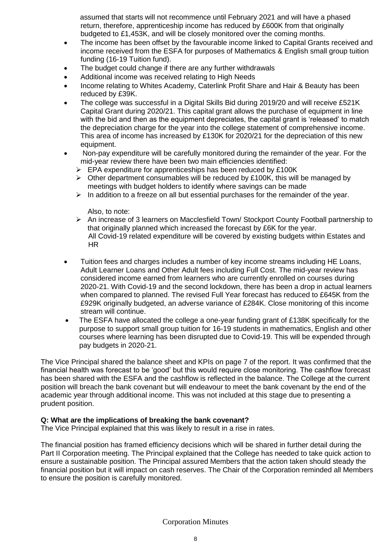assumed that starts will not recommence until February 2021 and will have a phased return, therefore, apprenticeship income has reduced by £600K from that originally budgeted to £1,453K, and will be closely monitored over the coming months.

- The income has been offset by the favourable income linked to Capital Grants received and income received from the ESFA for purposes of Mathematics & English small group tuition funding (16-19 Tuition fund).
- The budget could change if there are any further withdrawals
- Additional income was received relating to High Needs
- Income relating to Whites Academy, Caterlink Profit Share and Hair & Beauty has been reduced by £39K.
- The college was successful in a Digital Skills Bid during 2019/20 and will receive £521K Capital Grant during 2020/21. This capital grant allows the purchase of equipment in line with the bid and then as the equipment depreciates, the capital grant is 'released' to match the depreciation charge for the year into the college statement of comprehensive income. This area of income has increased by £130K for 2020/21 for the depreciation of this new equipment.
- Non-pay expenditure will be carefully monitored during the remainder of the year. For the mid-year review there have been two main efficiencies identified:
	- ➢ EPA expenditure for apprenticeships has been reduced by £100K
	- $\triangleright$  Other department consumables will be reduced by £100K, this will be managed by meetings with budget holders to identify where savings can be made
	- $\triangleright$  In addition to a freeze on all but essential purchases for the remainder of the year.

Also, to note:

- ➢ An increase of 3 learners on Macclesfield Town/ Stockport County Football partnership to that originally planned which increased the forecast by £6K for the year. All Covid-19 related expenditure will be covered by existing budgets within Estates and HR
- Tuition fees and charges includes a number of key income streams including HE Loans, Adult Learner Loans and Other Adult fees including Full Cost. The mid-year review has considered income earned from learners who are currently enrolled on courses during 2020-21. With Covid-19 and the second lockdown, there has been a drop in actual learners when compared to planned. The revised Full Year forecast has reduced to £645K from the £929K originally budgeted, an adverse variance of £284K. Close monitoring of this income stream will continue.
- The ESFA have allocated the college a one-year funding grant of £138K specifically for the purpose to support small group tuition for 16-19 students in mathematics, English and other courses where learning has been disrupted due to Covid-19. This will be expended through pay budgets in 2020-21.

The Vice Principal shared the balance sheet and KPIs on page 7 of the report. It was confirmed that the financial health was forecast to be 'good' but this would require close monitoring. The cashflow forecast has been shared with the ESFA and the cashflow is reflected in the balance. The College at the current position will breach the bank covenant but will endeavour to meet the bank covenant by the end of the academic year through additional income. This was not included at this stage due to presenting a prudent position.

## **Q: What are the implications of breaking the bank covenant?**

The Vice Principal explained that this was likely to result in a rise in rates.

The financial position has framed efficiency decisions which will be shared in further detail during the Part II Corporation meeting. The Principal explained that the College has needed to take quick action to ensure a sustainable position. The Principal assured Members that the action taken should steady the financial position but it will impact on cash reserves. The Chair of the Corporation reminded all Members to ensure the position is carefully monitored.